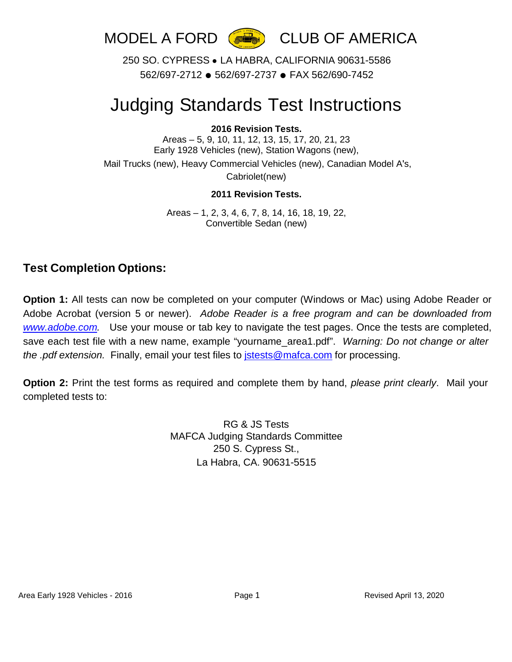

250 SO. CYPRESS ● LA HABRA, CALIFORNIA 90631-5586 562/697-2712 ● 562/697-2737 ● FAX 562/690-7452

## Judging Standards Test Instructions

## **2016 Revision Tests.**

Areas – 5, 9, 10, 11, 12, 13, 15, 17, 20, 21, 23 Early 1928 Vehicles (new), Station Wagons (new), Mail Trucks (new), Heavy Commercial Vehicles (new), Canadian Model A's,

Cabriolet(new)

## **2011 Revision Tests.**

Areas – 1, 2, 3, 4, 6, 7, 8, 14, 16, 18, 19, 22, Convertible Sedan (new)

## **Test Completion Options:**

**Option 1:** All tests can now be completed on your computer (Windows or Mac) using Adobe Reader or Adobe Acrobat (version 5 or newer). *Adobe Reader is a free program and can be downloaded from [www.adobe.com.](http://www.adobe.com/)* Use your mouse or tab key to navigate the test pages. Once the tests are completed, save each test file with a new name, example "yourname\_area1.pdf". *Warning: Do not change or alter the .pdf extension.* Finally, email your test files to [jstests@mafca.com](mailto:jstests@mafca.com) for processing.

**Option 2:** Print the test forms as required and complete them by hand, *please print clearly*. Mail your completed tests to:

> RG & JS Tests MAFCA Judging Standards Committee 250 S. Cypress St., La Habra, CA. 90631-5515